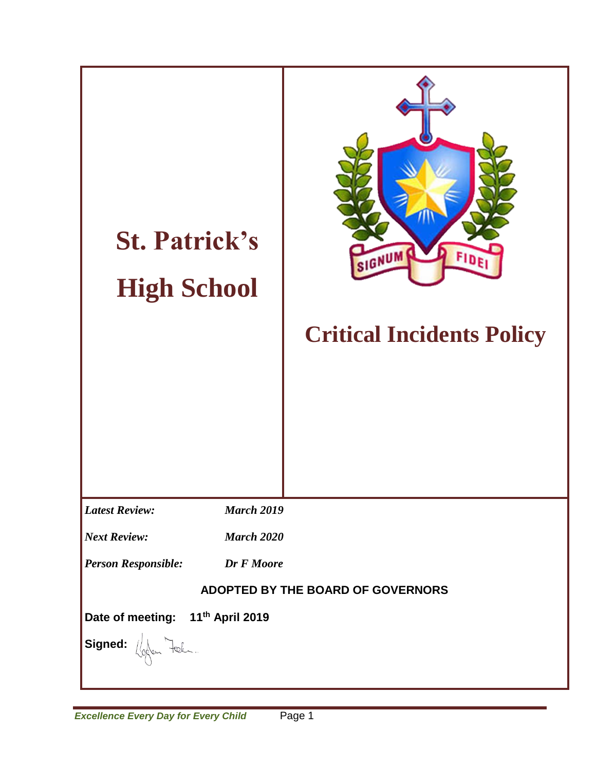| <b>St. Patrick's</b><br><b>High School</b>   | SIGNUM<br>FIDE<br><b>Critical Incidents Policy</b> |  |
|----------------------------------------------|----------------------------------------------------|--|
| <b>Latest Review:</b><br><b>March 2019</b>   |                                                    |  |
| <b>Next Review:</b><br><b>March 2020</b>     |                                                    |  |
| <b>Person Responsible:</b><br>Dr F Moore     |                                                    |  |
| ADOPTED BY THE BOARD OF GOVERNORS            |                                                    |  |
| Date of meeting: 11 <sup>th</sup> April 2019 |                                                    |  |
| Signed: ( for Fel.                           |                                                    |  |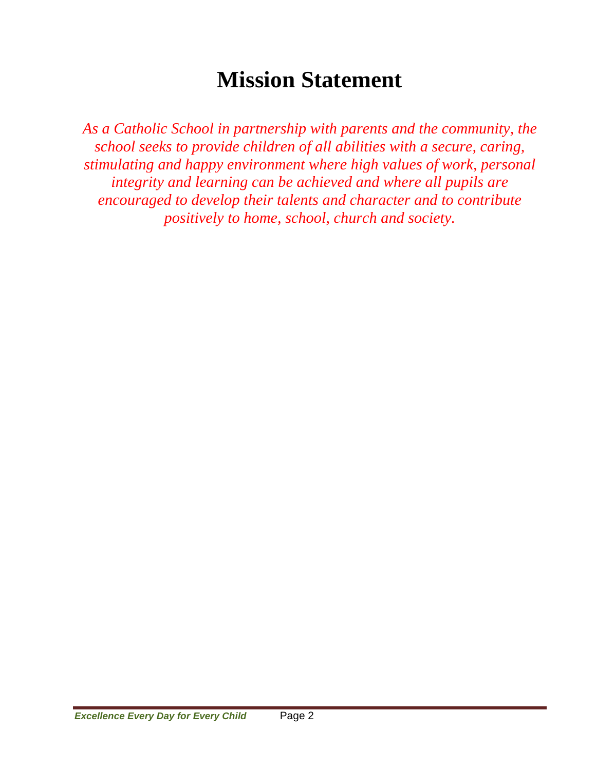# **Mission Statement**

*As a Catholic School in partnership with parents and the community, the school seeks to provide children of all abilities with a secure, caring, stimulating and happy environment where high values of work, personal integrity and learning can be achieved and where all pupils are encouraged to develop their talents and character and to contribute positively to home, school, church and society.*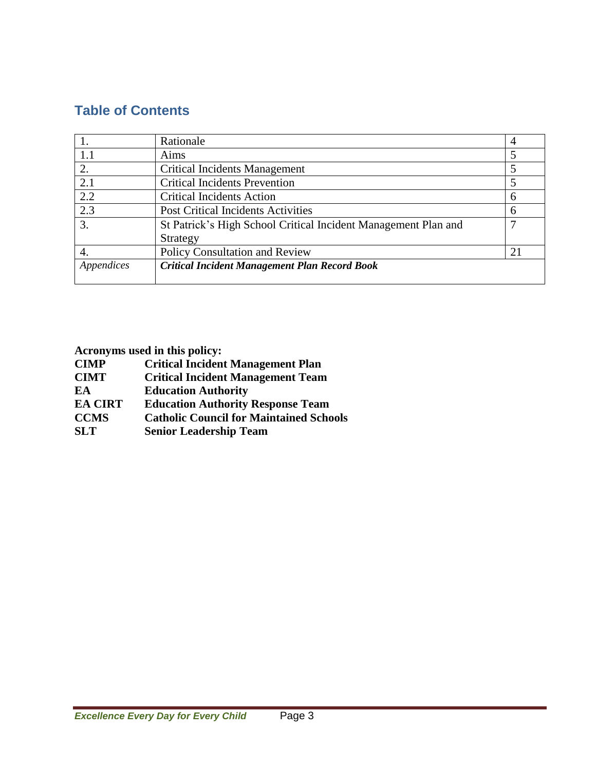# **Table of Contents**

|            | Rationale                                                      |    |
|------------|----------------------------------------------------------------|----|
| 1.1        | Aims                                                           |    |
| 2.         | <b>Critical Incidents Management</b>                           |    |
| 2.1        | <b>Critical Incidents Prevention</b>                           |    |
| 2.2        | <b>Critical Incidents Action</b>                               | 6  |
| 2.3        | <b>Post Critical Incidents Activities</b>                      | 6  |
| 3.         | St Patrick's High School Critical Incident Management Plan and |    |
|            | Strategy                                                       |    |
| -4.        | <b>Policy Consultation and Review</b>                          | 21 |
| Appendices | <b>Critical Incident Management Plan Record Book</b>           |    |
|            |                                                                |    |

**Acronyms used in this policy:**

| <b>CIMP</b>    | <b>Critical Incident Management Plan</b>       |
|----------------|------------------------------------------------|
| <b>CIMT</b>    | <b>Critical Incident Management Team</b>       |
| EA             | <b>Education Authority</b>                     |
| <b>EA CIRT</b> | <b>Education Authority Response Team</b>       |
| <b>CCMS</b>    | <b>Catholic Council for Maintained Schools</b> |
| <b>SLT</b>     | <b>Senior Leadership Team</b>                  |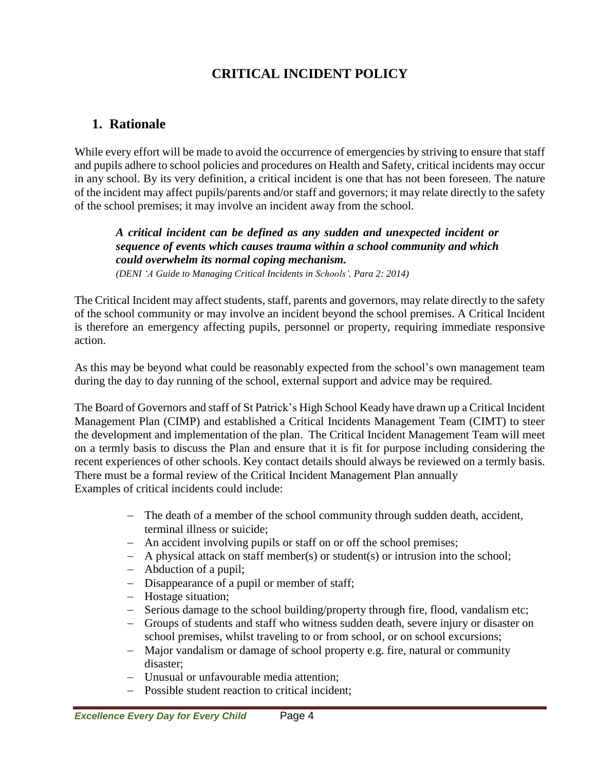# **CRITICAL INCIDENT POLICY**

# **1. Rationale**

While every effort will be made to avoid the occurrence of emergencies by striving to ensure that staff and pupils adhere to school policies and procedures on Health and Safety, critical incidents may occur in any school. By its very definition, a critical incident is one that has not been foreseen. The nature of the incident may affect pupils/parents and/or staff and governors; it may relate directly to the safety of the school premises; it may involve an incident away from the school.

*A critical incident can be defined as any sudden and unexpected incident or sequence of events which causes trauma within a school community and which could overwhelm its normal coping mechanism.*

*(DENI 'A Guide to Managing Critical Incidents in Schools', Para 2: 2014)*

The Critical Incident may affect students, staff, parents and governors, may relate directly to the safety of the school community or may involve an incident beyond the school premises. A Critical Incident is therefore an emergency affecting pupils, personnel or property, requiring immediate responsive action.

As this may be beyond what could be reasonably expected from the school's own management team during the day to day running of the school, external support and advice may be required.

The Board of Governors and staff of St Patrick's High School Keady have drawn up a Critical Incident Management Plan (CIMP) and established a Critical Incidents Management Team (CIMT) to steer the development and implementation of the plan. The Critical Incident Management Team will meet on a termly basis to discuss the Plan and ensure that it is fit for purpose including considering the recent experiences of other schools. Key contact details should always be reviewed on a termly basis. There must be a formal review of the Critical Incident Management Plan annually Examples of critical incidents could include:

- The death of a member of the school community through sudden death, accident, terminal illness or suicide;
- An accident involving pupils or staff on or off the school premises;
- A physical attack on staff member(s) or student(s) or intrusion into the school;
- Abduction of a pupil;
- Disappearance of a pupil or member of staff;
- Hostage situation;
- Serious damage to the school building/property through fire, flood, vandalism etc;
- Groups of students and staff who witness sudden death, severe injury or disaster on school premises, whilst traveling to or from school, or on school excursions;
- Major vandalism or damage of school property e.g. fire, natural or community disaster;
- Unusual or unfavourable media attention;
- Possible student reaction to critical incident;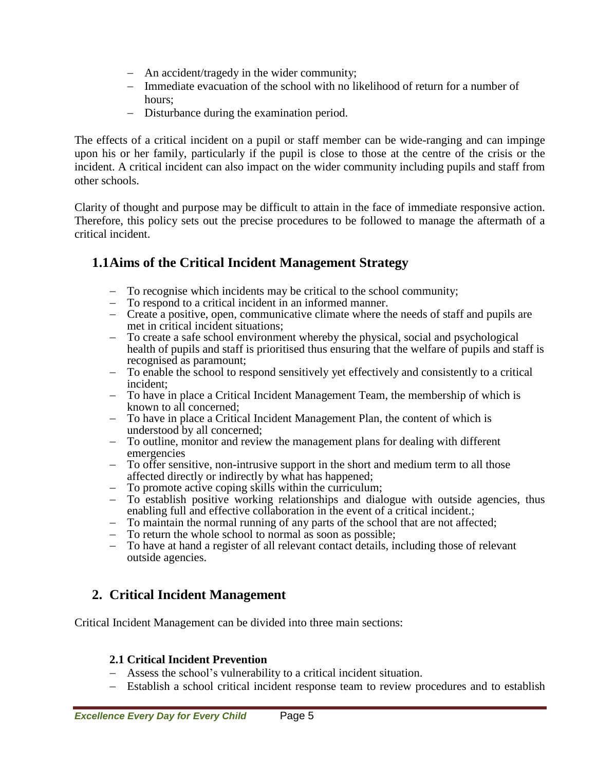- An accident/tragedy in the wider community;
- Immediate evacuation of the school with no likelihood of return for a number of hours;
- Disturbance during the examination period.

The effects of a critical incident on a pupil or staff member can be wide-ranging and can impinge upon his or her family, particularly if the pupil is close to those at the centre of the crisis or the incident. A critical incident can also impact on the wider community including pupils and staff from other schools.

Clarity of thought and purpose may be difficult to attain in the face of immediate responsive action. Therefore, this policy sets out the precise procedures to be followed to manage the aftermath of a critical incident.

# **1.1Aims of the Critical Incident Management Strategy**

- $-$  To recognise which incidents may be critical to the school community;<br> $-$  To respond to a critical incident in an informed manner
- To respond to a critical incident in an informed manner.
- Create a positive, open, communicative climate where the needs of staff and pupils are met in critical incident situations;
- To create a safe school environment whereby the physical, social and psychological health of pupils and staff is prioritised thus ensuring that the welfare of pupils and staff is recognised as paramount;
- To enable the school to respond sensitively yet effectively and consistently to a critical incident;
- To have in place a Critical Incident Management Team, the membership of which is known to all concerned;
- To have in place a Critical Incident Management Plan, the content of which is understood by all concerned;
- To outline, monitor and review the management plans for dealing with different emergencies
- To offer sensitive, non-intrusive support in the short and medium term to all those affected directly or indirectly by what has happened;
- To promote active coping skills within the curriculum;
- To establish positive working relationships and dialogue with outside agencies, thus enabling full and effective collaboration in the event of a critical incident.;
- To maintain the normal running of any parts of the school that are not affected;
- To return the whole school to normal as soon as possible;
- To have at hand a register of all relevant contact details, including those of relevant outside agencies.

# **2. Critical Incident Management**

Critical Incident Management can be divided into three main sections:

## **2.1 Critical Incident Prevention**

- Assess the school's vulnerability to a critical incident situation.
- Establish a school critical incident response team to review procedures and to establish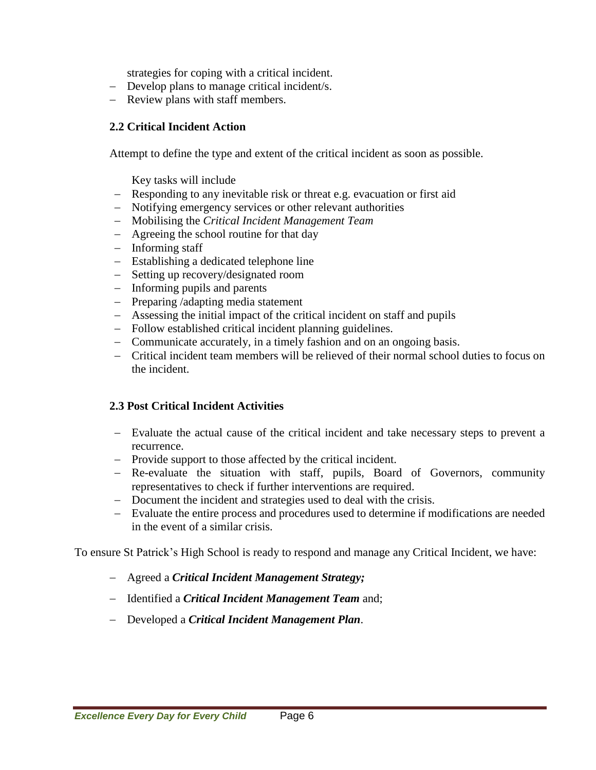strategies for coping with a critical incident.

- Develop plans to manage critical incident/s.
- Review plans with staff members.

### **2.2 Critical Incident Action**

Attempt to define the type and extent of the critical incident as soon as possible.

- Key tasks will include
- Responding to any inevitable risk or threat e.g. evacuation or first aid
- Notifying emergency services or other relevant authorities
- Mobilising the *Critical Incident Management Team*
- Agreeing the school routine for that day
- $-$  Informing staff
- Establishing a dedicated telephone line
- Setting up recovery/designated room
- Informing pupils and parents
- $P$  Preparing /adapting media statement
- Assessing the initial impact of the critical incident on staff and pupils
- Follow established critical incident planning guidelines.
- Communicate accurately, in a timely fashion and on an ongoing basis.
- Critical incident team members will be relieved of their normal school duties to focus on the incident.

## **2.3 Post Critical Incident Activities**

- Evaluate the actual cause of the critical incident and take necessary steps to prevent a recurrence.
- Provide support to those affected by the critical incident.
- Re-evaluate the situation with staff, pupils, Board of Governors, community representatives to check if further interventions are required.
- Document the incident and strategies used to deal with the crisis.
- Evaluate the entire process and procedures used to determine if modifications are needed in the event of a similar crisis.

To ensure St Patrick's High School is ready to respond and manage any Critical Incident, we have:

- Agreed a *Critical Incident Management Strategy;*
- Identified a *Critical Incident Management Team* and;
- Developed a *Critical Incident Management Plan*.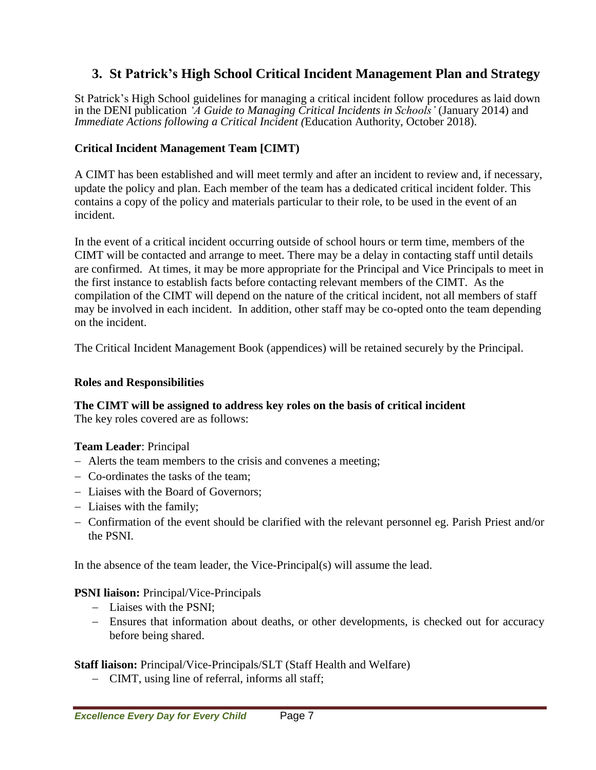# **3. St Patrick's High School Critical Incident Management Plan and Strategy**

St Patrick's High School guidelines for managing a critical incident follow procedures as laid down in the DENI publication *'A Guide to Managing Critical Incidents in Schools'* (January 2014) and *Immediate Actions following a Critical Incident (*Education Authority, October 2018).

### **Critical Incident Management Team [CIMT)**

A CIMT has been established and will meet termly and after an incident to review and, if necessary, update the policy and plan. Each member of the team has a dedicated critical incident folder. This contains a copy of the policy and materials particular to their role, to be used in the event of an incident.

In the event of a critical incident occurring outside of school hours or term time, members of the CIMT will be contacted and arrange to meet. There may be a delay in contacting staff until details are confirmed. At times, it may be more appropriate for the Principal and Vice Principals to meet in the first instance to establish facts before contacting relevant members of the CIMT. As the compilation of the CIMT will depend on the nature of the critical incident, not all members of staff may be involved in each incident. In addition, other staff may be co-opted onto the team depending on the incident.

The Critical Incident Management Book (appendices) will be retained securely by the Principal.

### **Roles and Responsibilities**

# **The CIMT will be assigned to address key roles on the basis of critical incident**

The key roles covered are as follows:

### **Team Leader**: Principal

- Alerts the team members to the crisis and convenes a meeting;
- Co-ordinates the tasks of the team;
- Liaises with the Board of Governors;
- Liaises with the family;
- Confirmation of the event should be clarified with the relevant personnel eg. Parish Priest and/or the PSNI.

In the absence of the team leader, the Vice-Principal(s) will assume the lead.

### **PSNI liaison:** Principal/Vice-Principals

- Liaises with the PSNI:
- Ensures that information about deaths, or other developments, is checked out for accuracy before being shared.

### **Staff liaison:** Principal/Vice-Principals/SLT (Staff Health and Welfare)

CIMT, using line of referral, informs all staff;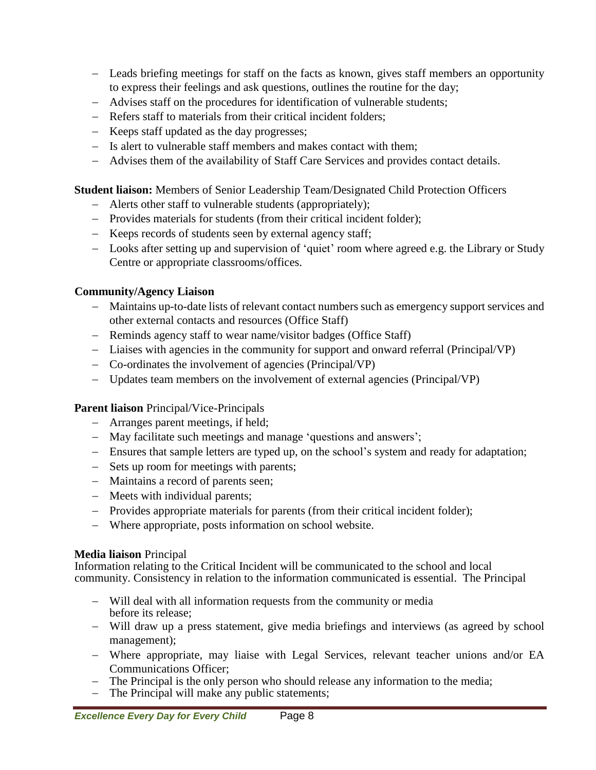- Leads briefing meetings for staff on the facts as known, gives staff members an opportunity to express their feelings and ask questions, outlines the routine for the day;
- Advises staff on the procedures for identification of vulnerable students;
- Refers staff to materials from their critical incident folders;
- Keeps staff updated as the day progresses;
- Is alert to vulnerable staff members and makes contact with them;
- Advises them of the availability of Staff Care Services and provides contact details.

**Student liaison:** Members of Senior Leadership Team/Designated Child Protection Officers

- Alerts other staff to vulnerable students (appropriately);
- Provides materials for students (from their critical incident folder);
- Keeps records of students seen by external agency staff;
- Looks after setting up and supervision of 'quiet' room where agreed e.g. the Library or Study Centre or appropriate classrooms/offices.

## **Community/Agency Liaison**

- Maintains up-to-date lists of relevant contact numbers such as emergency support services and other external contacts and resources (Office Staff)
- Reminds agency staff to wear name/visitor badges (Office Staff)
- Liaises with agencies in the community for support and onward referral (Principal/VP)
- Co-ordinates the involvement of agencies (Principal/VP)
- Updates team members on the involvement of external agencies (Principal/VP)

## **Parent liaison** Principal/Vice-Principals

- Arranges parent meetings, if held;
- May facilitate such meetings and manage 'questions and answers';
- Ensures that sample letters are typed up, on the school's system and ready for adaptation;
- Sets up room for meetings with parents;
- Maintains a record of parents seen;
- Meets with individual parents;
- Provides appropriate materials for parents (from their critical incident folder);
- Where appropriate, posts information on school website.

## **Media liaison** Principal

Information relating to the Critical Incident will be communicated to the school and local community. Consistency in relation to the information communicated is essential. The Principal

- Will deal with all information requests from the community or media before its release;
- Will draw up a press statement, give media briefings and interviews (as agreed by school management);
- Where appropriate, may liaise with Legal Services, relevant teacher unions and/or EA Communications Officer;
- The Principal is the only person who should release any information to the media;
- The Principal will make any public statements;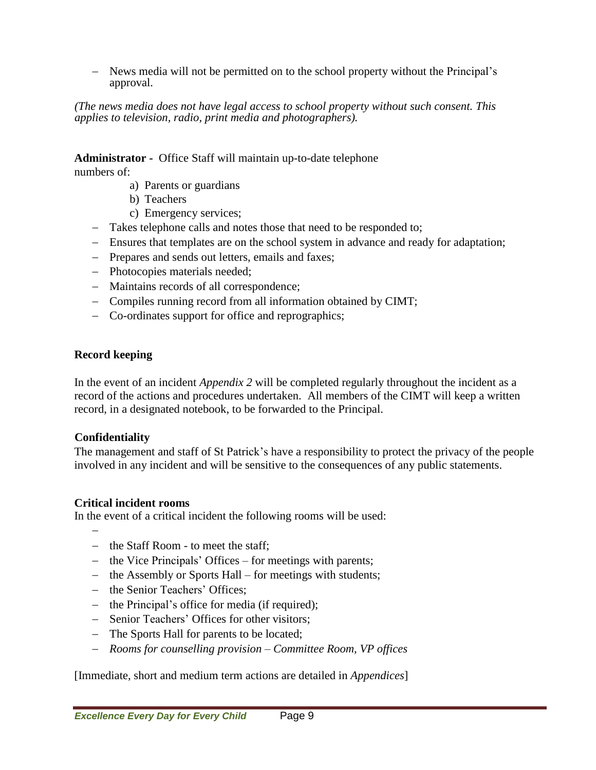News media will not be permitted on to the school property without the Principal's approval.

*(The news media does not have legal access to school property without such consent. This applies to television, radio, print media and photographers).*

**Administrator -** Office Staff will maintain up-to-date telephone

numbers of:

- a) Parents or guardians
- b) Teachers
- c) Emergency services;
- Takes telephone calls and notes those that need to be responded to;
- Ensures that templates are on the school system in advance and ready for adaptation;
- Prepares and sends out letters, emails and faxes;
- Photocopies materials needed;
- Maintains records of all correspondence;
- Compiles running record from all information obtained by CIMT;
- Co-ordinates support for office and reprographics;

### **Record keeping**

In the event of an incident *Appendix 2* will be completed regularly throughout the incident as a record of the actions and procedures undertaken. All members of the CIMT will keep a written record, in a designated notebook, to be forwarded to the Principal.

### **Confidentiality**

The management and staff of St Patrick's have a responsibility to protect the privacy of the people involved in any incident and will be sensitive to the consequences of any public statements.

### **Critical incident rooms**

In the event of a critical incident the following rooms will be used:

-

- the Staff Room to meet the staff;
- $-$  the Vice Principals' Offices for meetings with parents;
- the Assembly or Sports Hall for meetings with students;
- the Senior Teachers' Offices;
- $-$  the Principal's office for media (if required);
- Senior Teachers' Offices for other visitors;
- The Sports Hall for parents to be located;
- *Rooms for counselling provision – Committee Room, VP offices*

[Immediate, short and medium term actions are detailed in *Appendices*]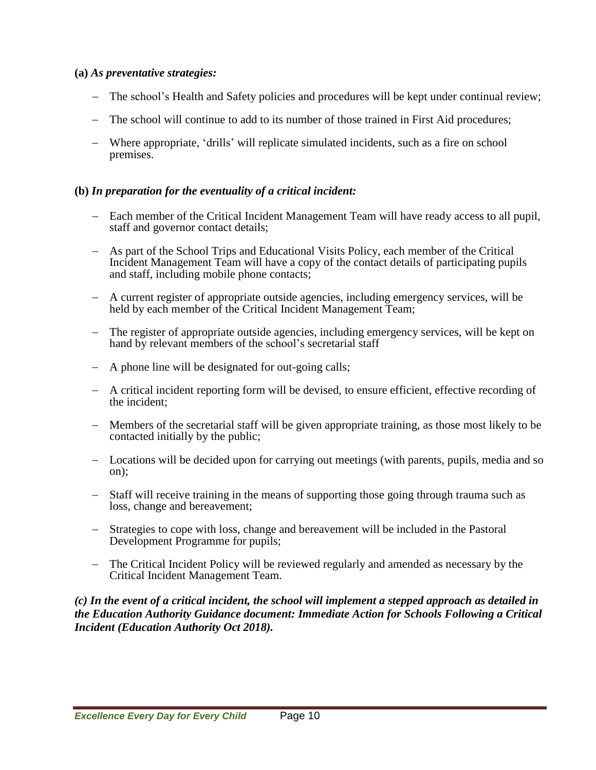### **(a)** *As preventative strategies:*

- The school's Health and Safety policies and procedures will be kept under continual review;
- The school will continue to add to its number of those trained in First Aid procedures;
- Where appropriate, 'drills' will replicate simulated incidents, such as a fire on school premises.

### **(b)** *In preparation for the eventuality of a critical incident:*

- Each member of the Critical Incident Management Team will have ready access to all pupil, staff and governor contact details;
- As part of the School Trips and Educational Visits Policy, each member of the Critical Incident Management Team will have a copy of the contact details of participating pupils and staff, including mobile phone contacts;
- A current register of appropriate outside agencies, including emergency services, will be held by each member of the Critical Incident Management Team;
- The register of appropriate outside agencies, including emergency services, will be kept on hand by relevant members of the school's secretarial staff
- A phone line will be designated for out-going calls;
- A critical incident reporting form will be devised, to ensure efficient, effective recording of the incident;
- Members of the secretarial staff will be given appropriate training, as those most likely to be contacted initially by the public;
- Locations will be decided upon for carrying out meetings (with parents, pupils, media and so on);
- Staff will receive training in the means of supporting those going through trauma such as loss, change and bereavement;
- Strategies to cope with loss, change and bereavement will be included in the Pastoral Development Programme for pupils;
- The Critical Incident Policy will be reviewed regularly and amended as necessary by the Critical Incident Management Team.

(c) In the event of a critical incident, the school will implement a stepped approach as detailed in *the Education Authority Guidance document: Immediate Action for Schools Following a Critical Incident (Education Authority Oct 2018).*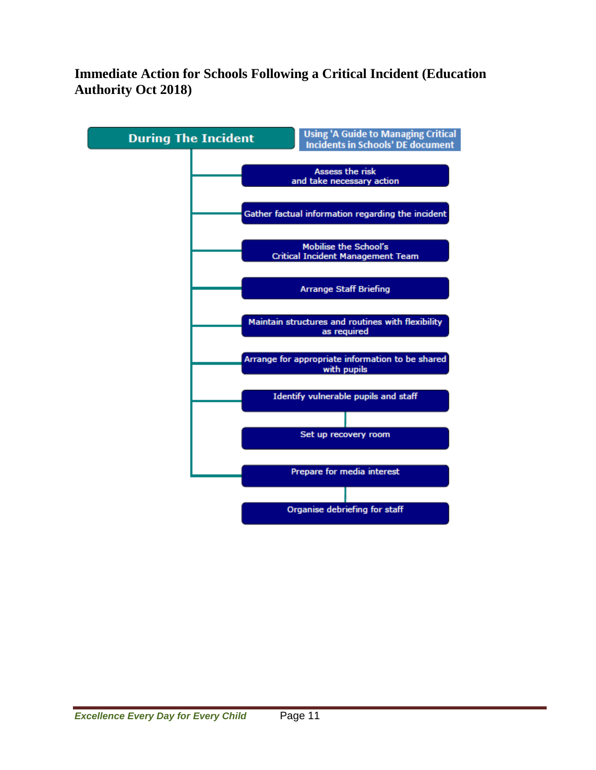# **Immediate Action for Schools Following a Critical Incident (Education Authority Oct 2018)**

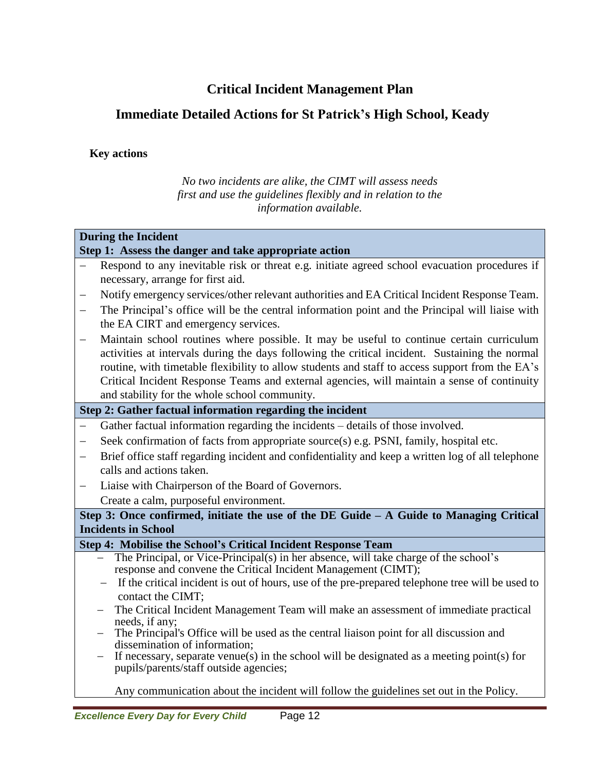# **Critical Incident Management Plan**

# **Immediate Detailed Actions for St Patrick's High School, Keady**

### **Key actions**

*No two incidents are alike, the CIMT will assess needs first and use the guidelines flexibly and in relation to the information available.*

### **During the Incident**

#### **Step 1: Assess the danger and take appropriate action**

- Respond to any inevitable risk or threat e.g. initiate agreed school evacuation procedures if necessary, arrange for first aid.
- Notify emergency services/other relevant authorities and EA Critical Incident Response Team.
- The Principal's office will be the central information point and the Principal will liaise with the EA CIRT and emergency services.
- Maintain school routines where possible. It may be useful to continue certain curriculum activities at intervals during the days following the critical incident. Sustaining the normal routine, with timetable flexibility to allow students and staff to access support from the EA's Critical Incident Response Teams and external agencies, will maintain a sense of continuity and stability for the whole school community.

### **Step 2: Gather factual information regarding the incident**

- Gather factual information regarding the incidents details of those involved.
- Seek confirmation of facts from appropriate source(s) e.g. PSNI, family, hospital etc.
- Brief office staff regarding incident and confidentiality and keep a written log of all telephone calls and actions taken.
- Liaise with Chairperson of the Board of Governors.

# Create a calm, purposeful environment.

### **Step 3: Once confirmed, initiate the use of the DE Guide – A Guide to Managing Critical Incidents in School**

### **Step 4: Mobilise the School's Critical Incident Response Team**

- The Principal, or Vice-Principal(s) in her absence, will take charge of the school's response and convene the Critical Incident Management (CIMT);
- If the critical incident is out of hours, use of the pre-prepared telephone tree will be used to contact the CIMT;
- The Critical Incident Management Team will make an assessment of immediate practical needs, if any;
- The Principal's Office will be used as the central liaison point for all discussion and dissemination of information;
- If necessary, separate venue(s) in the school will be designated as a meeting point(s) for pupils/parents/staff outside agencies;

Any communication about the incident will follow the guidelines set out in the Policy.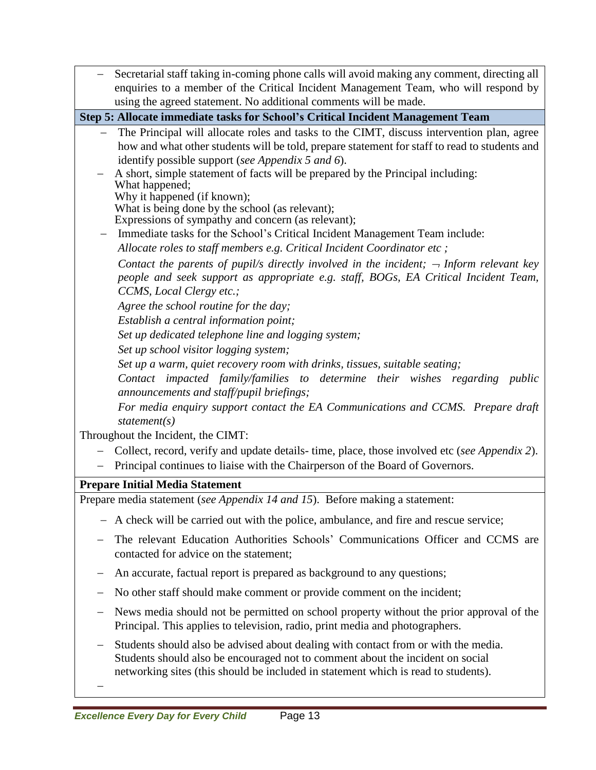| Secretarial staff taking in-coming phone calls will avoid making any comment, directing all                                                                                                                            |  |  |
|------------------------------------------------------------------------------------------------------------------------------------------------------------------------------------------------------------------------|--|--|
| enquiries to a member of the Critical Incident Management Team, who will respond by                                                                                                                                    |  |  |
| using the agreed statement. No additional comments will be made.                                                                                                                                                       |  |  |
| Step 5: Allocate immediate tasks for School's Critical Incident Management Team                                                                                                                                        |  |  |
| The Principal will allocate roles and tasks to the CIMT, discuss intervention plan, agree<br>how and what other students will be told, prepare statement for staff to read to students and                             |  |  |
| identify possible support (see Appendix 5 and 6).                                                                                                                                                                      |  |  |
| A short, simple statement of facts will be prepared by the Principal including:                                                                                                                                        |  |  |
| What happened;<br>Why it happened (if known);                                                                                                                                                                          |  |  |
| What is being done by the school (as relevant);                                                                                                                                                                        |  |  |
| Expressions of sympathy and concern (as relevant);                                                                                                                                                                     |  |  |
| Immediate tasks for the School's Critical Incident Management Team include:                                                                                                                                            |  |  |
| Allocate roles to staff members e.g. Critical Incident Coordinator etc;                                                                                                                                                |  |  |
| Contact the parents of pupil/s directly involved in the incident; $\rightarrow$ Inform relevant key<br>people and seek support as appropriate e.g. staff, BOGs, EA Critical Incident Team,<br>CCMS, Local Clergy etc.; |  |  |
| Agree the school routine for the day;                                                                                                                                                                                  |  |  |
| Establish a central information point;                                                                                                                                                                                 |  |  |
| Set up dedicated telephone line and logging system;                                                                                                                                                                    |  |  |
| Set up school visitor logging system;                                                                                                                                                                                  |  |  |
| Set up a warm, quiet recovery room with drinks, tissues, suitable seating;                                                                                                                                             |  |  |
| Contact impacted family/families to determine their wishes regarding public<br>announcements and staff/pupil briefings;                                                                                                |  |  |
| For media enquiry support contact the EA Communications and CCMS. Prepare draft                                                                                                                                        |  |  |
| statement(s)                                                                                                                                                                                                           |  |  |
| Throughout the Incident, the CIMT:                                                                                                                                                                                     |  |  |
| Collect, record, verify and update details-time, place, those involved etc (see Appendix 2).                                                                                                                           |  |  |
| Principal continues to liaise with the Chairperson of the Board of Governors.                                                                                                                                          |  |  |
| <b>Prepare Initial Media Statement</b>                                                                                                                                                                                 |  |  |
| Prepare media statement (see Appendix 14 and 15). Before making a statement:                                                                                                                                           |  |  |
| A check will be carried out with the police, ambulance, and fire and rescue service;                                                                                                                                   |  |  |
| The relevant Education Authorities Schools' Communications Officer and CCMS are<br>contacted for advice on the statement;                                                                                              |  |  |
| An accurate, factual report is prepared as background to any questions;                                                                                                                                                |  |  |
| No other staff should make comment or provide comment on the incident;                                                                                                                                                 |  |  |
| News media should not be permitted on school property without the prior approval of the<br>Principal. This applies to television, radio, print media and photographers.                                                |  |  |
| Students should also be advised about dealing with contact from or with the media.<br>Students should also be encouraged not to comment about the incident on social                                                   |  |  |

networking sites (this should be included in statement which is read to students).

-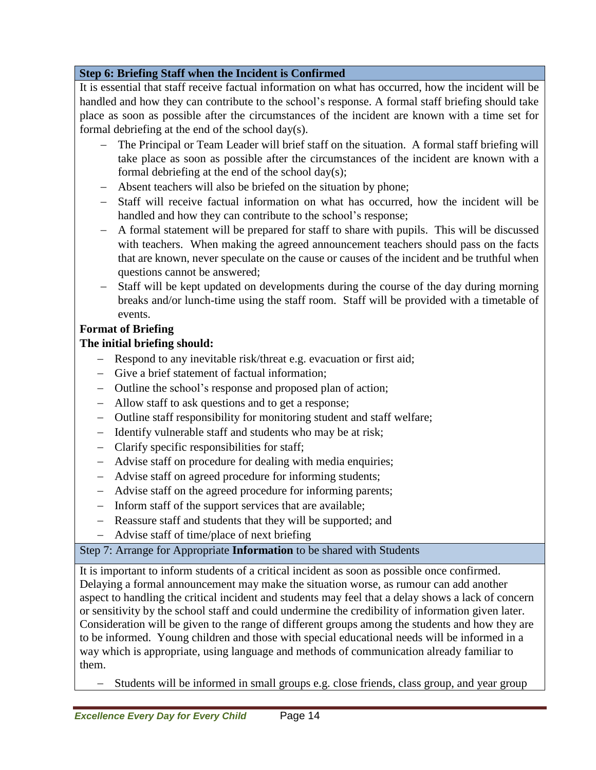## **Step 6: Briefing Staff when the Incident is Confirmed**

It is essential that staff receive factual information on what has occurred, how the incident will be handled and how they can contribute to the school's response. A formal staff briefing should take place as soon as possible after the circumstances of the incident are known with a time set for formal debriefing at the end of the school day(s).

- The Principal or Team Leader will brief staff on the situation. A formal staff briefing will take place as soon as possible after the circumstances of the incident are known with a formal debriefing at the end of the school day(s);
- Absent teachers will also be briefed on the situation by phone;
- Staff will receive factual information on what has occurred, how the incident will be handled and how they can contribute to the school's response;
- A formal statement will be prepared for staff to share with pupils. This will be discussed with teachers. When making the agreed announcement teachers should pass on the facts that are known, never speculate on the cause or causes of the incident and be truthful when questions cannot be answered;
- Staff will be kept updated on developments during the course of the day during morning breaks and/or lunch-time using the staff room. Staff will be provided with a timetable of events.

## **Format of Briefing**

### **The initial briefing should:**

- Respond to any inevitable risk/threat e.g. evacuation or first aid;
- Give a brief statement of factual information;
- Outline the school's response and proposed plan of action;
- Allow staff to ask questions and to get a response;
- Outline staff responsibility for monitoring student and staff welfare;
- Identify vulnerable staff and students who may be at risk;
- Clarify specific responsibilities for staff;
- Advise staff on procedure for dealing with media enquiries;
- Advise staff on agreed procedure for informing students;
- Advise staff on the agreed procedure for informing parents;
- Inform staff of the support services that are available;
- Reassure staff and students that they will be supported; and
- Advise staff of time/place of next briefing

## Step 7: Arrange for Appropriate **Information** to be shared with Students

It is important to inform students of a critical incident as soon as possible once confirmed. Delaying a formal announcement may make the situation worse, as rumour can add another aspect to handling the critical incident and students may feel that a delay shows a lack of concern or sensitivity by the school staff and could undermine the credibility of information given later. Consideration will be given to the range of different groups among the students and how they are to be informed. Young children and those with special educational needs will be informed in a way which is appropriate, using language and methods of communication already familiar to them.

- Students will be informed in small groups e.g. close friends, class group, and year group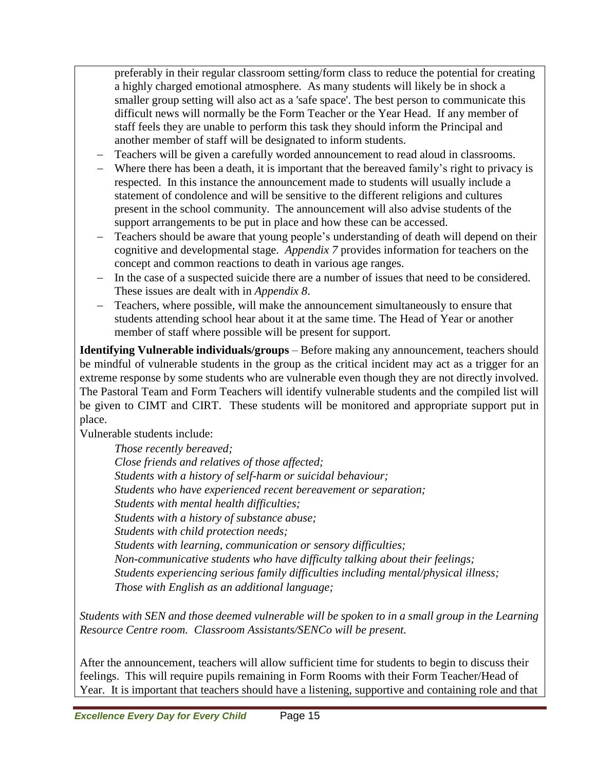preferably in their regular classroom setting/form class to reduce the potential for creating a highly charged emotional atmosphere. As many students will likely be in shock a smaller group setting will also act as a 'safe space'. The best person to communicate this difficult news will normally be the Form Teacher or the Year Head. If any member of staff feels they are unable to perform this task they should inform the Principal and another member of staff will be designated to inform students.

- Teachers will be given a carefully worded announcement to read aloud in classrooms.
- Where there has been a death, it is important that the bereaved family's right to privacy is respected. In this instance the announcement made to students will usually include a statement of condolence and will be sensitive to the different religions and cultures present in the school community. The announcement will also advise students of the support arrangements to be put in place and how these can be accessed.
- Teachers should be aware that young people's understanding of death will depend on their cognitive and developmental stage. *Appendix 7* provides information for teachers on the concept and common reactions to death in various age ranges.
- In the case of a suspected suicide there are a number of issues that need to be considered. These issues are dealt with in *Appendix 8*.
- Teachers, where possible, will make the announcement simultaneously to ensure that students attending school hear about it at the same time. The Head of Year or another member of staff where possible will be present for support.

**Identifying Vulnerable individuals/groups** – Before making any announcement, teachers should be mindful of vulnerable students in the group as the critical incident may act as a trigger for an extreme response by some students who are vulnerable even though they are not directly involved. The Pastoral Team and Form Teachers will identify vulnerable students and the compiled list will be given to CIMT and CIRT. These students will be monitored and appropriate support put in place.

Vulnerable students include:

*Those recently bereaved; Close friends and relatives of those affected; Students with a history of self-harm or suicidal behaviour; Students who have experienced recent bereavement or separation; Students with mental health difficulties; Students with a history of substance abuse; Students with child protection needs; Students with learning, communication or sensory difficulties; Non-communicative students who have difficulty talking about their feelings; Students experiencing serious family difficulties including mental/physical illness; Those with English as an additional language;*

*Students with SEN and those deemed vulnerable will be spoken to in a small group in the Learning Resource Centre room. Classroom Assistants/SENCo will be present.*

After the announcement, teachers will allow sufficient time for students to begin to discuss their feelings. This will require pupils remaining in Form Rooms with their Form Teacher/Head of Year. It is important that teachers should have a listening, supportive and containing role and that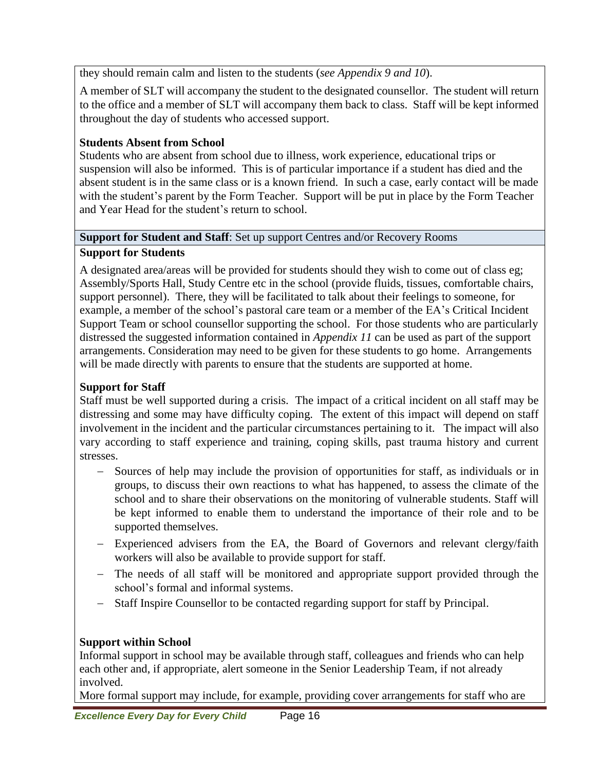they should remain calm and listen to the students (*see Appendix 9 and 10*).

A member of SLT will accompany the student to the designated counsellor. The student will return to the office and a member of SLT will accompany them back to class. Staff will be kept informed throughout the day of students who accessed support.

# **Students Absent from School**

Students who are absent from school due to illness, work experience, educational trips or suspension will also be informed. This is of particular importance if a student has died and the absent student is in the same class or is a known friend. In such a case, early contact will be made with the student's parent by the Form Teacher. Support will be put in place by the Form Teacher and Year Head for the student's return to school.

## **Support for Student and Staff**: Set up support Centres and/or Recovery Rooms

# **Support for Students**

A designated area/areas will be provided for students should they wish to come out of class eg; Assembly/Sports Hall, Study Centre etc in the school (provide fluids, tissues, comfortable chairs, support personnel). There, they will be facilitated to talk about their feelings to someone, for example, a member of the school's pastoral care team or a member of the EA's Critical Incident Support Team or school counsellor supporting the school. For those students who are particularly distressed the suggested information contained in *Appendix 11* can be used as part of the support arrangements. Consideration may need to be given for these students to go home. Arrangements will be made directly with parents to ensure that the students are supported at home.

# **Support for Staff**

Staff must be well supported during a crisis. The impact of a critical incident on all staff may be distressing and some may have difficulty coping. The extent of this impact will depend on staff involvement in the incident and the particular circumstances pertaining to it. The impact will also vary according to staff experience and training, coping skills, past trauma history and current stresses.

- Sources of help may include the provision of opportunities for staff, as individuals or in groups, to discuss their own reactions to what has happened, to assess the climate of the school and to share their observations on the monitoring of vulnerable students. Staff will be kept informed to enable them to understand the importance of their role and to be supported themselves.
- Experienced advisers from the EA, the Board of Governors and relevant clergy/faith workers will also be available to provide support for staff.
- The needs of all staff will be monitored and appropriate support provided through the school's formal and informal systems.
- Staff Inspire Counsellor to be contacted regarding support for staff by Principal.

# **Support within School**

Informal support in school may be available through staff, colleagues and friends who can help each other and, if appropriate, alert someone in the Senior Leadership Team, if not already involved.

More formal support may include, for example, providing cover arrangements for staff who are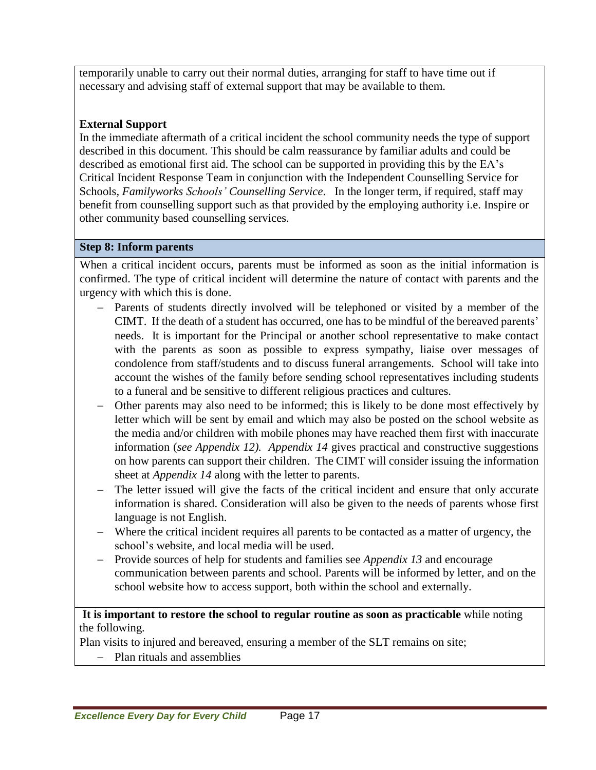temporarily unable to carry out their normal duties, arranging for staff to have time out if necessary and advising staff of external support that may be available to them.

# **External Support**

In the immediate aftermath of a critical incident the school community needs the type of support described in this document. This should be calm reassurance by familiar adults and could be described as emotional first aid. The school can be supported in providing this by the EA's Critical Incident Response Team in conjunction with the Independent Counselling Service for Schools*, Familyworks Schools' Counselling Service*. In the longer term, if required, staff may benefit from counselling support such as that provided by the employing authority i.e. Inspire or other community based counselling services.

## **Step 8: Inform parents**

When a critical incident occurs, parents must be informed as soon as the initial information is confirmed. The type of critical incident will determine the nature of contact with parents and the urgency with which this is done.

- Parents of students directly involved will be telephoned or visited by a member of the CIMT. If the death of a student has occurred, one has to be mindful of the bereaved parents' needs. It is important for the Principal or another school representative to make contact with the parents as soon as possible to express sympathy, liaise over messages of condolence from staff/students and to discuss funeral arrangements. School will take into account the wishes of the family before sending school representatives including students to a funeral and be sensitive to different religious practices and cultures.
- Other parents may also need to be informed; this is likely to be done most effectively by letter which will be sent by email and which may also be posted on the school website as the media and/or children with mobile phones may have reached them first with inaccurate information (*see Appendix 12). Appendix 14* gives practical and constructive suggestions on how parents can support their children. The CIMT will consider issuing the information sheet at *Appendix 14* along with the letter to parents.
- The letter issued will give the facts of the critical incident and ensure that only accurate information is shared. Consideration will also be given to the needs of parents whose first language is not English.
- Where the critical incident requires all parents to be contacted as a matter of urgency, the school's website, and local media will be used.
- Provide sources of help for students and families see *Appendix 13* and encourage communication between parents and school. Parents will be informed by letter, and on the school website how to access support, both within the school and externally.

### **It is important to restore the school to regular routine as soon as practicable** while noting the following.

Plan visits to injured and bereaved, ensuring a member of the SLT remains on site;

Plan rituals and assemblies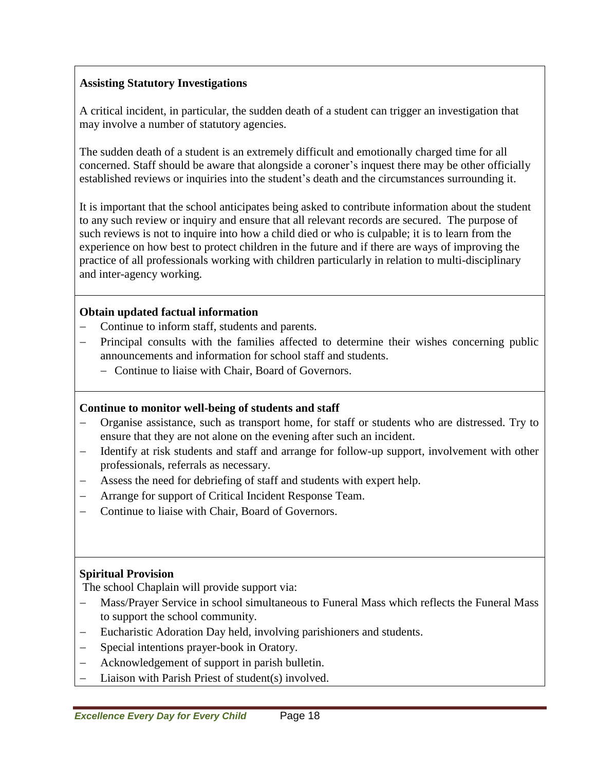## **Assisting Statutory Investigations**

A critical incident, in particular, the sudden death of a student can trigger an investigation that may involve a number of statutory agencies.

The sudden death of a student is an extremely difficult and emotionally charged time for all concerned. Staff should be aware that alongside a coroner's inquest there may be other officially established reviews or inquiries into the student's death and the circumstances surrounding it.

It is important that the school anticipates being asked to contribute information about the student to any such review or inquiry and ensure that all relevant records are secured. The purpose of such reviews is not to inquire into how a child died or who is culpable; it is to learn from the experience on how best to protect children in the future and if there are ways of improving the practice of all professionals working with children particularly in relation to multi-disciplinary and inter-agency working.

### **Obtain updated factual information**

- Continue to inform staff, students and parents.
- Principal consults with the families affected to determine their wishes concerning public announcements and information for school staff and students.
	- Continue to liaise with Chair, Board of Governors.

### **Continue to monitor well-being of students and staff**

- Organise assistance, such as transport home, for staff or students who are distressed. Try to ensure that they are not alone on the evening after such an incident.
- Identify at risk students and staff and arrange for follow-up support, involvement with other professionals, referrals as necessary.
- Assess the need for debriefing of staff and students with expert help.
- Arrange for support of Critical Incident Response Team.
- Continue to liaise with Chair, Board of Governors.

## **Spiritual Provision**

The school Chaplain will provide support via:

- Mass/Prayer Service in school simultaneous to Funeral Mass which reflects the Funeral Mass to support the school community.
- Eucharistic Adoration Day held, involving parishioners and students.
- Special intentions prayer-book in Oratory.
- Acknowledgement of support in parish bulletin.
- Liaison with Parish Priest of student(s) involved.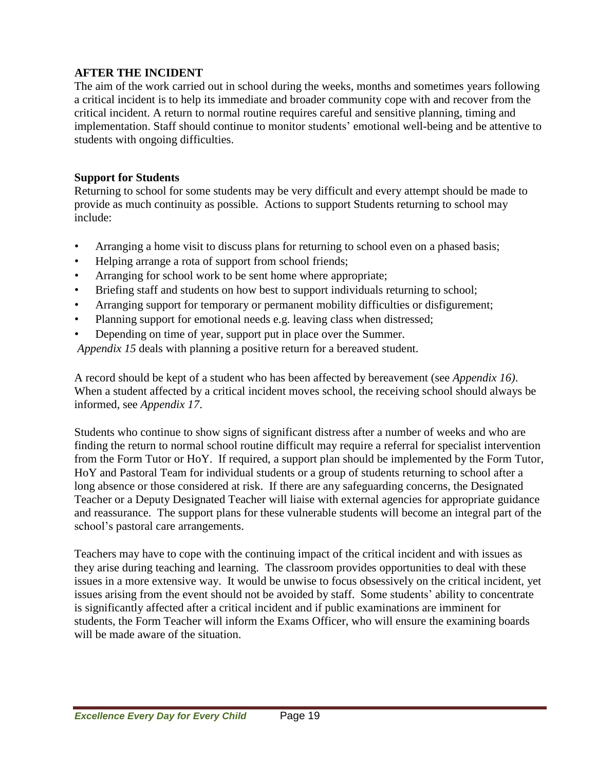## **AFTER THE INCIDENT**

The aim of the work carried out in school during the weeks, months and sometimes years following a critical incident is to help its immediate and broader community cope with and recover from the critical incident. A return to normal routine requires careful and sensitive planning, timing and implementation. Staff should continue to monitor students' emotional well-being and be attentive to students with ongoing difficulties.

### **Support for Students**

Returning to school for some students may be very difficult and every attempt should be made to provide as much continuity as possible. Actions to support Students returning to school may include:

- Arranging a home visit to discuss plans for returning to school even on a phased basis;
- Helping arrange a rota of support from school friends;
- Arranging for school work to be sent home where appropriate;
- Briefing staff and students on how best to support individuals returning to school;
- Arranging support for temporary or permanent mobility difficulties or disfigurement;
- Planning support for emotional needs e.g. leaving class when distressed;
- Depending on time of year, support put in place over the Summer.

*Appendix 15* deals with planning a positive return for a bereaved student.

A record should be kept of a student who has been affected by bereavement (see *Appendix 16)*. When a student affected by a critical incident moves school, the receiving school should always be informed, see *Appendix 17*.

Students who continue to show signs of significant distress after a number of weeks and who are finding the return to normal school routine difficult may require a referral for specialist intervention from the Form Tutor or HoY. If required, a support plan should be implemented by the Form Tutor, HoY and Pastoral Team for individual students or a group of students returning to school after a long absence or those considered at risk. If there are any safeguarding concerns, the Designated Teacher or a Deputy Designated Teacher will liaise with external agencies for appropriate guidance and reassurance. The support plans for these vulnerable students will become an integral part of the school's pastoral care arrangements.

Teachers may have to cope with the continuing impact of the critical incident and with issues as they arise during teaching and learning. The classroom provides opportunities to deal with these issues in a more extensive way. It would be unwise to focus obsessively on the critical incident, yet issues arising from the event should not be avoided by staff. Some students' ability to concentrate is significantly affected after a critical incident and if public examinations are imminent for students, the Form Teacher will inform the Exams Officer, who will ensure the examining boards will be made aware of the situation.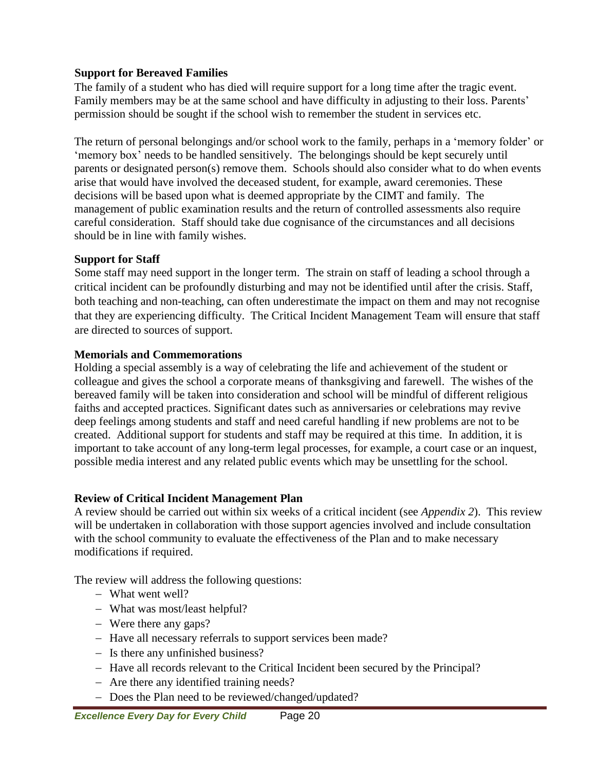### **Support for Bereaved Families**

The family of a student who has died will require support for a long time after the tragic event. Family members may be at the same school and have difficulty in adjusting to their loss. Parents' permission should be sought if the school wish to remember the student in services etc.

The return of personal belongings and/or school work to the family, perhaps in a 'memory folder' or 'memory box' needs to be handled sensitively. The belongings should be kept securely until parents or designated person(s) remove them. Schools should also consider what to do when events arise that would have involved the deceased student, for example, award ceremonies. These decisions will be based upon what is deemed appropriate by the CIMT and family. The management of public examination results and the return of controlled assessments also require careful consideration. Staff should take due cognisance of the circumstances and all decisions should be in line with family wishes.

### **Support for Staff**

Some staff may need support in the longer term. The strain on staff of leading a school through a critical incident can be profoundly disturbing and may not be identified until after the crisis. Staff, both teaching and non-teaching, can often underestimate the impact on them and may not recognise that they are experiencing difficulty. The Critical Incident Management Team will ensure that staff are directed to sources of support.

### **Memorials and Commemorations**

Holding a special assembly is a way of celebrating the life and achievement of the student or colleague and gives the school a corporate means of thanksgiving and farewell. The wishes of the bereaved family will be taken into consideration and school will be mindful of different religious faiths and accepted practices. Significant dates such as anniversaries or celebrations may revive deep feelings among students and staff and need careful handling if new problems are not to be created. Additional support for students and staff may be required at this time. In addition, it is important to take account of any long-term legal processes, for example, a court case or an inquest, possible media interest and any related public events which may be unsettling for the school.

### **Review of Critical Incident Management Plan**

A review should be carried out within six weeks of a critical incident (see *Appendix 2*). This review will be undertaken in collaboration with those support agencies involved and include consultation with the school community to evaluate the effectiveness of the Plan and to make necessary modifications if required.

The review will address the following questions:

- What went well?
- What was most/least helpful?
- Were there any gaps?
- Have all necessary referrals to support services been made?
- Is there any unfinished business?
- Have all records relevant to the Critical Incident been secured by the Principal?
- Are there any identified training needs?
- Does the Plan need to be reviewed/changed/updated?